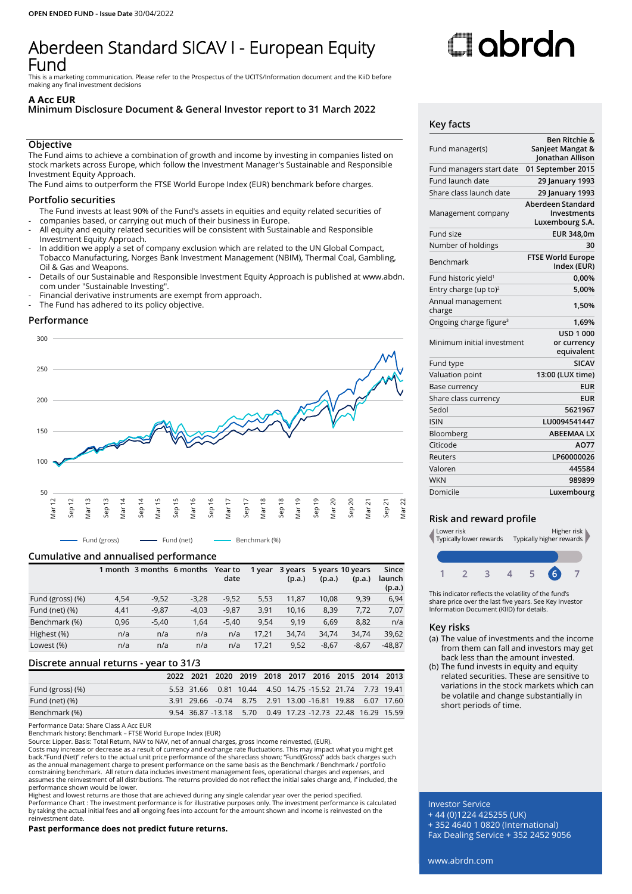# Aberdeen Standard SICAV I - European Equity Fund

This is a marketing communication. Please refer to the Prospectus of the UCITS/Information document and the KiiD before making any final investment decisions

#### **A Acc EUR**

# **Minimum Disclosure Document & General Investor report to 31 March 2022**

# **Objective**

The Fund aims to achieve a combination of growth and income by investing in companies listed on stock markets across Europe, which follow the Investment Manager's Sustainable and Responsible Investment Equity Approach.

The Fund aims to outperform the FTSE World Europe Index (EUR) benchmark before charges.

### **Portfolio securities**

The Fund invests at least 90% of the Fund's assets in equities and equity related securities of companies based, or carrying out much of their business in Europe.

- - All equity and equity related securities will be consistent with Sustainable and Responsible Investment Equity Approach.
- In addition we apply a set of company exclusion which are related to the UN Global Compact, Tobacco Manufacturing, Norges Bank Investment Management (NBIM), Thermal Coal, Gambling, Oil & Gas and Weapons.
- Details of our Sustainable and Responsible Investment Equity Approach is published at www.abdn. com under "Sustainable Investing".
- Financial derivative instruments are exempt from approach.
- The Fund has adhered to its policy objective.

# **Performance**



# **Cumulative and annualised performance**

|                  |      | 1 month 3 months 6 months |         | Year to<br>date | 1 year | 3 years<br>(p.a.) | (p.a.)  | 5 years 10 years<br>(p.a.) | Since<br>launch<br>(p.a.) |
|------------------|------|---------------------------|---------|-----------------|--------|-------------------|---------|----------------------------|---------------------------|
| Fund (gross) (%) | 4,54 | $-9,52$                   | $-3,28$ | $-9,52$         | 5,53   | 11.87             | 10,08   | 9,39                       | 6,94                      |
| Fund (net) (%)   | 4,41 | $-9,87$                   | $-4,03$ | $-9,87$         | 3,91   | 10.16             | 8,39    | 7,72                       | 7,07                      |
| Benchmark (%)    | 0,96 | $-5,40$                   | 1,64    | $-5.40$         | 9.54   | 9.19              | 6,69    | 8,82                       | n/a                       |
| Highest (%)      | n/a  | n/a                       | n/a     | n/a             | 17.21  | 34,74             | 34,74   | 34,74                      | 39,62                     |
| Lowest (%)       | n/a  | n/a                       | n/a     | n/a             | 17,21  | 9,52              | $-8,67$ | $-8,67$                    | $-48,87$                  |

# **Discrete annual returns - year to 31/3**

|                   |  | 2022 2021 2020 2019 2018 2017 2016 2015 2014 2013          |  |  |  |
|-------------------|--|------------------------------------------------------------|--|--|--|
| Fund (gross) (%)  |  | 5.53 31.66 0.81 10.44 4.50 14.75 -15.52 21.74 7.73 19.41   |  |  |  |
| Fund (net) $(\%)$ |  | 3.91 29.66 -0.74 8.75 2.91 13.00 -16.81 19.88 6.07 17.60   |  |  |  |
| Benchmark (%)     |  | 9.54 36.87 -13.18 5.70 0.49 17.23 -12.73 22.48 16.29 15.59 |  |  |  |

Performance Data: Share Class A Acc EUR

Benchmark history: Benchmark – FTSE World Europe Index (EUR)

Source: Lipper. Basis: Total Return, NAV to NAV, net of annual charges, gross Income reinvested, (EUR). Costs may increase or decrease as a result of currency and exchange rate fluctuations. This may impact what you might get back."Fund (Net)" refers to the actual unit price performance of the shareclass shown; "Fund(Gross)" adds back charges such as the annual management charge to present performance on the same basis as the Benchmark / Benchmark / portfolio<br>constraining benchmark. All return data includes investment management fees, operational charges and expens assumes the reinvestment of all distributions. The returns provided do not reflect the initial sales charge and, if included, the performance shown would be lower.

Highest and lowest returns are those that are achieved during any single calendar year over the period specified. Performance Chart : The investment performance is for illustrative purposes only. The investment performance is calculated<br>by taking the actual initial fees and all ongoing fees into account for the amount shown and income reinvestment date.

**Past performance does not predict future returns.**

# Oobrdo

#### **Key facts**

| Fund manager(s)                    | Ben Ritchie &<br>Sanjeet Mangat &<br>Jonathan Allison |
|------------------------------------|-------------------------------------------------------|
| Fund managers start date           | 01 September 2015                                     |
| Fund launch date                   | 29 January 1993                                       |
| Share class launch date            | 29 January 1993                                       |
| Management company                 | Aberdeen Standard<br>Investments<br>Luxembourg S.A.   |
| Fund size                          | EUR 348,0m                                            |
| Number of holdings                 | 30                                                    |
| Benchmark                          | <b>FTSE World Europe</b><br>Index (EUR)               |
| Fund historic yield <sup>1</sup>   | 0,00%                                                 |
| Entry charge (up to) <sup>2</sup>  | 5,00%                                                 |
| Annual management<br>charge        | 1,50%                                                 |
| Ongoing charge figure <sup>3</sup> | 1,69%                                                 |
| Minimum initial investment         | <b>USD 1 000</b><br>or currency<br>equivalent         |
| Fund type                          | <b>SICAV</b>                                          |
| Valuation point                    | 13:00 (LUX time)                                      |
| <b>Base currency</b>               | <b>EUR</b>                                            |
| Share class currency               | <b>EUR</b>                                            |
| Sedol                              | 5621967                                               |
| <b>ISIN</b>                        | LU0094541447                                          |
| Bloomberg                          | <b>ABEEMAA LX</b>                                     |
| Citicode                           | AO77                                                  |
| Reuters                            | LP60000026                                            |
| Valoren                            | 445584                                                |
| <b>WKN</b>                         | 989899                                                |
| Domicile                           | Luxembourg                                            |
|                                    |                                                       |

# **Risk and reward profile**



This indicator reflects the volatility of the fund's share price over the last five years. See Key Investor Information Document (KIID) for details.

# **Key risks**

- (a) The value of investments and the income from them can fall and investors may get back less than the amount invested.
- (b) The fund invests in equity and equity related securities. These are sensitive to variations in the stock markets which can be volatile and change substantially in short periods of time.

Investor Service + 44 (0)1224 425255 (UK) + 352 4640 1 0820 (International) Fax Dealing Service + 352 2452 9056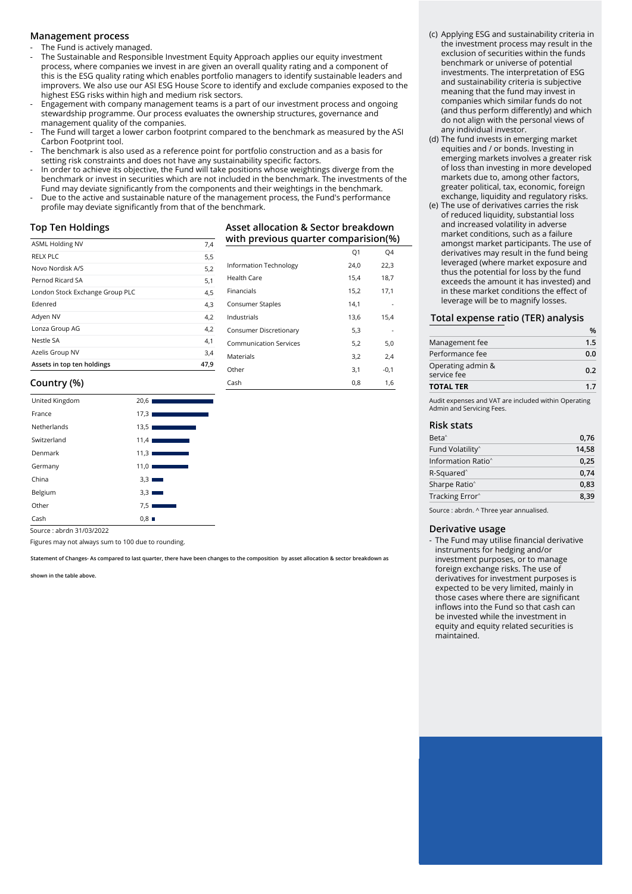#### **Management process**

The Fund is actively managed.

- The Sustainable and Responsible Investment Equity Approach applies our equity investment process, where companies we invest in are given an overall quality rating and a component of this is the ESG quality rating which enables portfolio managers to identify sustainable leaders and improvers. We also use our ASI ESG House Score to identify and exclude companies exposed to the highest ESG risks within high and medium risk sectors.
- Engagement with company management teams is a part of our investment process and ongoing stewardship programme. Our process evaluates the ownership structures, governance and management quality of the companies.
- The Fund will target a lower carbon footprint compared to the benchmark as measured by the ASI Carbon Footprint tool.
- The benchmark is also used as a reference point for portfolio construction and as a basis for setting risk constraints and does not have any sustainability specific factors.
- In order to achieve its objective, the Fund will take positions whose weightings diverge from the benchmark or invest in securities which are not included in the benchmark. The investments of the Fund may deviate significantly from the components and their weightings in the benchmark.
- Due to the active and sustainable nature of the management process, the Fund's performance profile may deviate significantly from that of the benchmark.

#### **Top Ten Holdings**

| <b>ASML Holding NV</b>          | 7,4  |
|---------------------------------|------|
| RELX PLC                        | 5,5  |
| Novo Nordisk A/S                | 5,2  |
| Pernod Ricard SA                | 5,1  |
| London Stock Exchange Group PLC | 4,5  |
| Edenred                         | 4,3  |
| Adyen NV                        | 4,2  |
| Lonza Group AG                  | 4,2  |
| Nestle SA                       | 4,1  |
| Azelis Group NV                 | 3,4  |
| Assets in top ten holdings      | 47,9 |

| with previous quarter comparision(%) |                |        |  |  |  |
|--------------------------------------|----------------|--------|--|--|--|
|                                      | O <sub>1</sub> | Q4     |  |  |  |
| Information Technology               | 24,0           | 22,3   |  |  |  |
| Health Care                          | 15,4           | 18,7   |  |  |  |
| Financials                           | 15,2           | 17,1   |  |  |  |
| Consumer Staples                     | 14.1           |        |  |  |  |
| Industrials                          | 13,6           | 15.4   |  |  |  |
| Consumer Discretionary               | 5,3            |        |  |  |  |
| <b>Communication Services</b>        | 5,2            | 5,0    |  |  |  |
| Materials                            | 3,2            | 2,4    |  |  |  |
| Other                                | 3,1            | $-0,1$ |  |  |  |
| Cash                                 | 0,8            | 1,6    |  |  |  |

**Asset allocation & Sector breakdown**

## **Country (%)**

| United Kingdom | 20,6<br>$\mathcal{L}^{\text{max}}_{\text{max}}$ and $\mathcal{L}^{\text{max}}_{\text{max}}$ and $\mathcal{L}^{\text{max}}_{\text{max}}$  |
|----------------|------------------------------------------------------------------------------------------------------------------------------------------|
| France         | 17,31<br>$\mathcal{L}^{\text{max}}_{\text{max}}$ and $\mathcal{L}^{\text{max}}_{\text{max}}$ and $\mathcal{L}^{\text{max}}_{\text{max}}$ |
| Netherlands    | 13,51<br>the control of the control of the                                                                                               |
| Switzerland    | 11,41<br>the company of the company                                                                                                      |
| Denmark        | 11.3                                                                                                                                     |
| Germany        | 11,01<br><b>Contract Contract Contract</b>                                                                                               |
| China          | 3,3                                                                                                                                      |
| Belgium        | 3.3                                                                                                                                      |
| Other          | 7,5                                                                                                                                      |
| Cash           | 0.8                                                                                                                                      |

Source : abrdn 31/03/2022

Figures may not always sum to 100 due to rounding.

**Statement of Changes- As compared to last quarter, there have been changes to the composition by asset allocation & sector breakdown as** 

**shown in the table above.**

- (c) Applying ESG and sustainability criteria in the investment process may result in the exclusion of securities within the funds benchmark or universe of potential investments. The interpretation of ESG and sustainability criteria is subjective meaning that the fund may invest in companies which similar funds do not (and thus perform differently) and which do not align with the personal views of any individual investor.
- (d) The fund invests in emerging market equities and / or bonds. Investing in emerging markets involves a greater risk of loss than investing in more developed markets due to, among other factors, greater political, tax, economic, foreign exchange, liquidity and regulatory risks.
- (e) The use of derivatives carries the risk of reduced liquidity, substantial loss and increased volatility in adverse market conditions, such as a failure amongst market participants. The use of derivatives may result in the fund being leveraged (where market exposure and thus the potential for loss by the fund exceeds the amount it has invested) and in these market conditions the effect of leverage will be to magnify losses.

#### **Total expense ratio (TER) analysis**

| <b>TOTAL TER</b>  |     |
|-------------------|-----|
| service fee       | 1.7 |
| Operating admin & | 0.2 |
| Performance fee   | 0.0 |
| Management fee    | 1.5 |
|                   | %   |

Audit expenses and VAT are included within Operating Admin and Servicing Fees.

| <b>Risk stats</b>              |       |  |
|--------------------------------|-------|--|
| Beta <sup>^</sup>              | 0.76  |  |
| Fund Volatility <sup>^</sup>   | 14.58 |  |
| Information Ratio <sup>^</sup> | 0.25  |  |
| R-Squared <sup>^</sup>         | 0.74  |  |
| Sharpe Ratio <sup>^</sup>      | 0.83  |  |
| Tracking Error <sup>^</sup>    | 8.39  |  |

Source : abrdn. ^ Three year annualised.

#### **Derivative usage**

- The Fund may utilise financial derivative instruments for hedging and/or investment purposes, or to manage foreign exchange risks. The use of derivatives for investment purposes is expected to be very limited, mainly in those cases where there are significant inflows into the Fund so that cash can be invested while the investment in equity and equity related securities is maintained.